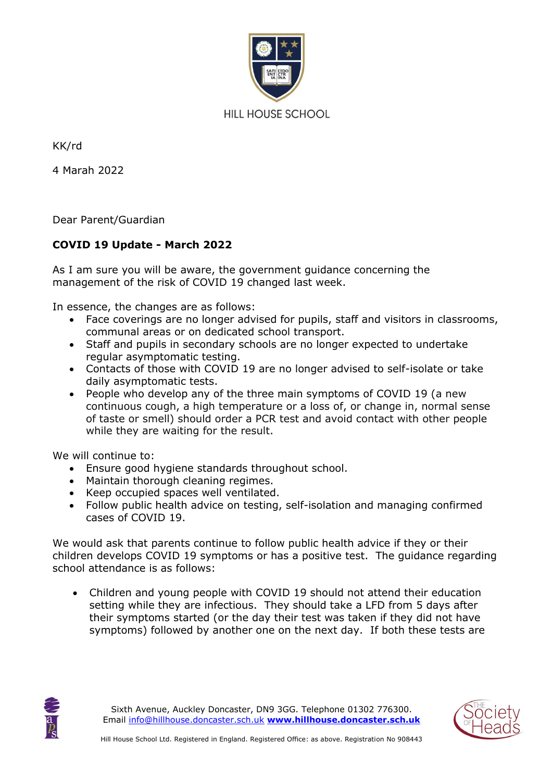

KK/rd

4 Marah 2022

Dear Parent/Guardian

## **COVID 19 Update - March 2022**

As I am sure you will be aware, the government guidance concerning the management of the risk of COVID 19 changed last week.

In essence, the changes are as follows:

- Face coverings are no longer advised for pupils, staff and visitors in classrooms, communal areas or on dedicated school transport.
- Staff and pupils in secondary schools are no longer expected to undertake regular asymptomatic testing.
- Contacts of those with COVID 19 are no longer advised to self-isolate or take daily asymptomatic tests.
- People who develop any of the three main symptoms of COVID 19 (a new continuous cough, a high temperature or a loss of, or change in, normal sense of taste or smell) should order a PCR test and avoid contact with other people while they are waiting for the result.

We will continue to:

- Ensure good hygiene standards throughout school.
- Maintain thorough cleaning regimes.
- Keep occupied spaces well ventilated.
- Follow public health advice on testing, self-isolation and managing confirmed cases of COVID 19.

We would ask that parents continue to follow public health advice if they or their children develops COVID 19 symptoms or has a positive test. The guidance regarding school attendance is as follows:

• Children and young people with COVID 19 should not attend their education setting while they are infectious. They should take a LFD from 5 days after their symptoms started (or the day their test was taken if they did not have symptoms) followed by another one on the next day. If both these tests are